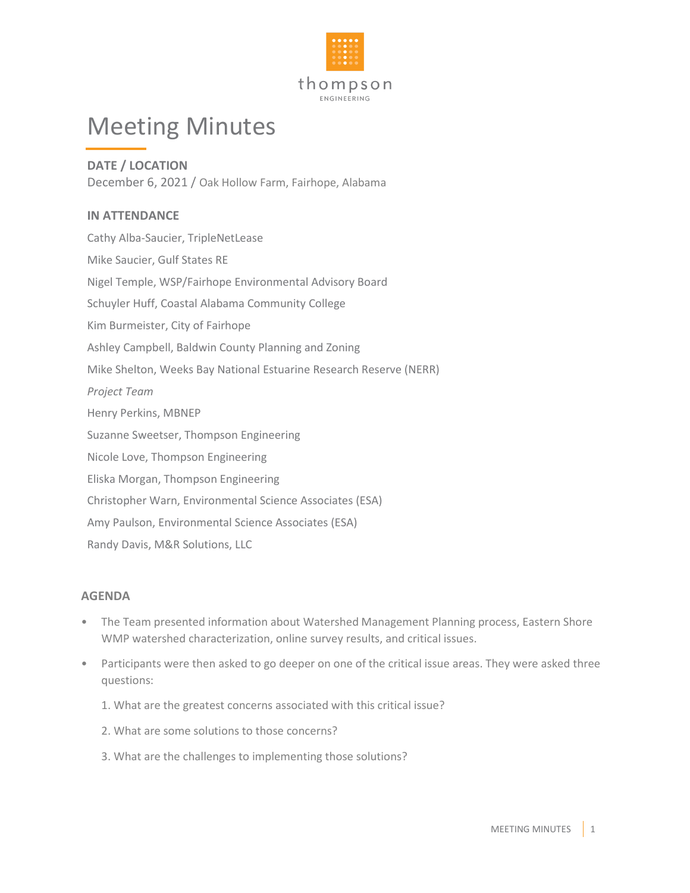

## Meeting Minutes

**DATE / LOCATION** December 6, 2021 / Oak Hollow Farm, Fairhope, Alabama

## **IN ATTENDANCE**

Cathy Alba-Saucier, TripleNetLease Mike Saucier, Gulf States RE Nigel Temple, WSP/Fairhope Environmental Advisory Board Schuyler Huff, Coastal Alabama Community College Kim Burmeister, City of Fairhope Ashley Campbell, Baldwin County Planning and Zoning Mike Shelton, Weeks Bay National Estuarine Research Reserve (NERR) *Project Team* Henry Perkins, MBNEP Suzanne Sweetser, Thompson Engineering Nicole Love, Thompson Engineering Eliska Morgan, Thompson Engineering Christopher Warn, Environmental Science Associates (ESA) Amy Paulson, Environmental Science Associates (ESA) Randy Davis, M&R Solutions, LLC

## **AGENDA**

- The Team presented information about Watershed Management Planning process, Eastern Shore WMP watershed characterization, online survey results, and critical issues.
- Participants were then asked to go deeper on one of the critical issue areas. They were asked three questions:
	- 1. What are the greatest concerns associated with this critical issue?
	- 2. What are some solutions to those concerns?
	- 3. What are the challenges to implementing those solutions?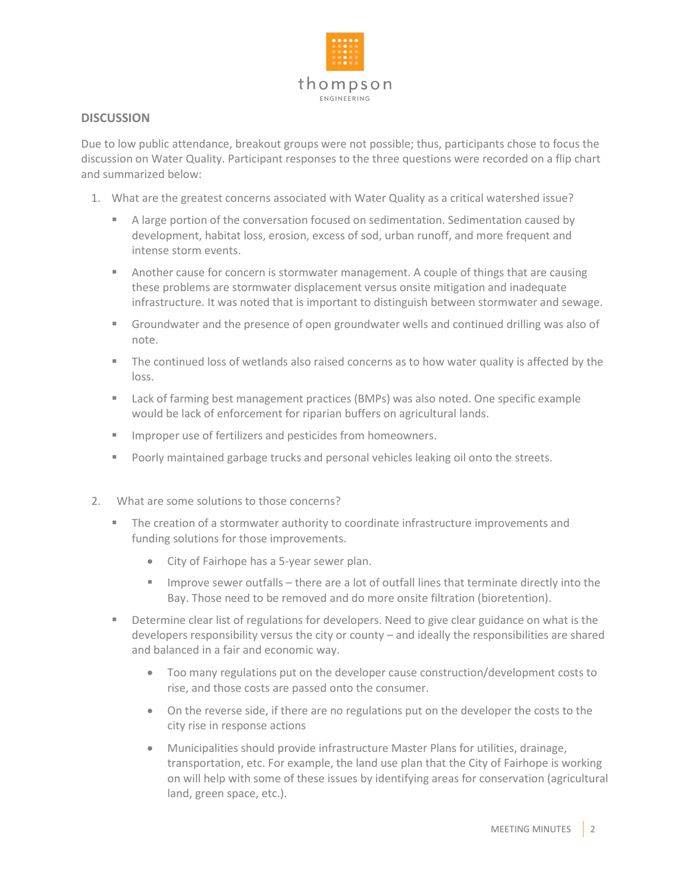

## **DISCUSSION**

Due to low public attendance, breakout groups were not possible; thus, participants chose to focus the discussion on Water Quality. Participant responses to the three questions were recorded on a flip chart and summarized below:

- 1. What are the greatest concerns associated with Water Quality as a critical watershed issue?
	- A large portion of the conversation focused on sedimentation. Sedimentation caused by development, habitat loss, erosion, excess of sod, urban runoff, and more frequent and intense storm events.
	- **Another cause for concern is stormwater management. A couple of things that are causing** these problems are stormwater displacement versus onsite mitigation and inadequate infrastructure. It was noted that is important to distinguish between stormwater and sewage.
	- Groundwater and the presence of open groundwater wells and continued drilling was also of note.
	- The continued loss of wetlands also raised concerns as to how water quality is affected by the loss.
	- Lack of farming best management practices (BMPs) was also noted. One specific example would be lack of enforcement for riparian buffers on agricultural lands.
	- **IMPROPER 1998 IMPROPER 19 Interest 20 IMPROPER 19 IMPROPER 19 IMPROPER 19 IMPROPER 19 IMPROPER 19 IMPROPER**
	- **Poorly maintained garbage trucks and personal vehicles leaking oil onto the streets.**
- 2. What are some solutions to those concerns?
	- **The creation of a stormwater authority to coordinate infrastructure improvements and** funding solutions for those improvements.
		- City of Fairhope has a 5-year sewer plan.
		- **IMPROVE SEWER OUTFALLS there are a lot of outfall lines that terminate directly into the** Bay. Those need to be removed and do more onsite filtration (bioretention).
	- **Determine clear list of regulations for developers. Need to give clear guidance on what is the** developers responsibility versus the city or county – and ideally the responsibilities are shared and balanced in a fair and economic way.
		- Too many regulations put on the developer cause construction/development costs to rise, and those costs are passed onto the consumer.
		- On the reverse side, if there are no regulations put on the developer the costs to the city rise in response actions
		- Municipalities should provide infrastructure Master Plans for utilities, drainage, transportation, etc. For example, the land use plan that the City of Fairhope is working on will help with some of these issues by identifying areas for conservation (agricultural land, green space, etc.).